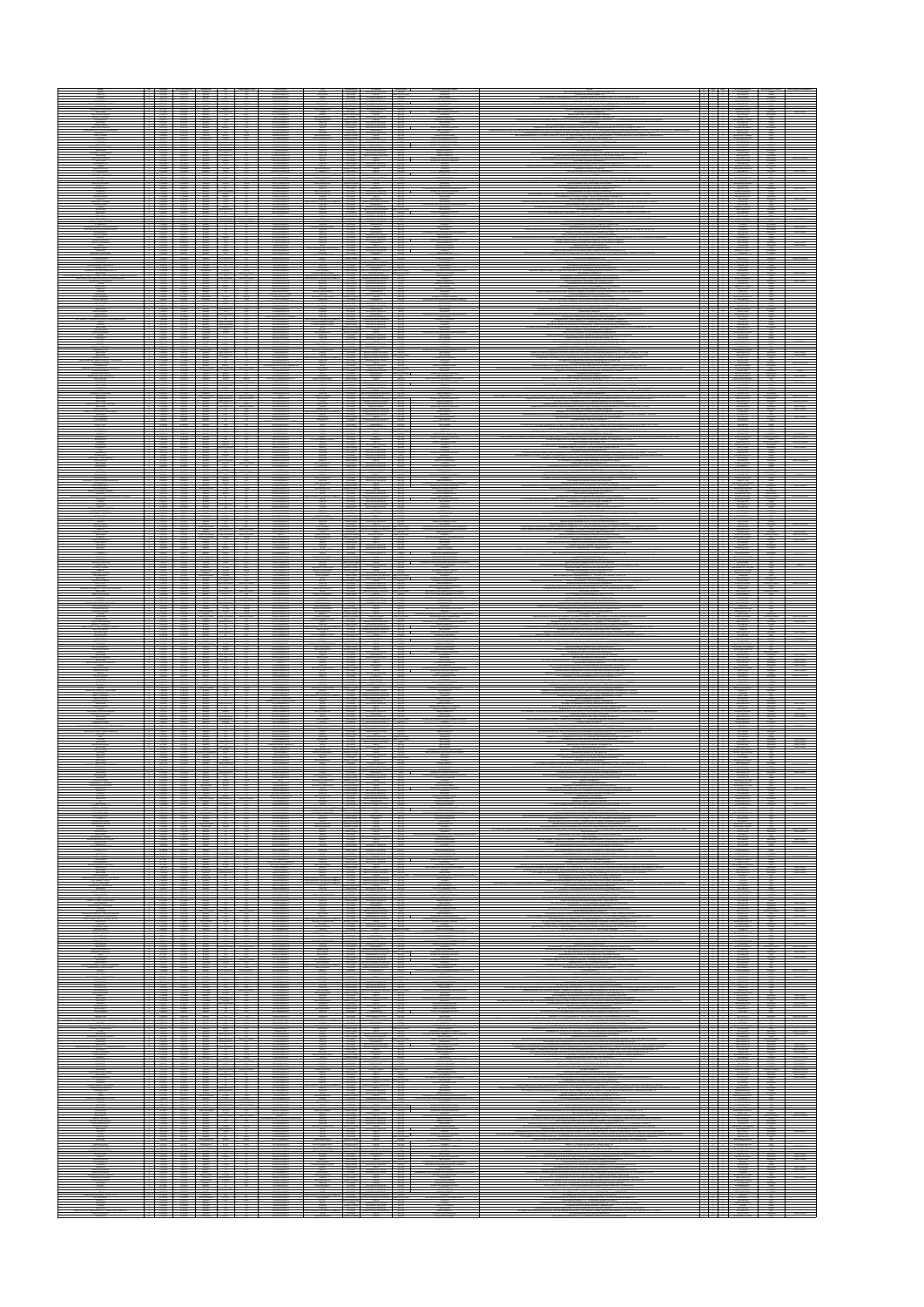| $\frac{1}{2}$ $\frac{1}{2}$                                                                                                                                                                                                                                                                                                                                                                                                                                                         |                                                                                                                                                                                                                                     |                                                                                                                                                                                                                                                                                                                                                                                                                                                                        |                                                   |                                                                                                                                                                                                                                |                                                                                                                                                                                                                     |                          |
|-------------------------------------------------------------------------------------------------------------------------------------------------------------------------------------------------------------------------------------------------------------------------------------------------------------------------------------------------------------------------------------------------------------------------------------------------------------------------------------|-------------------------------------------------------------------------------------------------------------------------------------------------------------------------------------------------------------------------------------|------------------------------------------------------------------------------------------------------------------------------------------------------------------------------------------------------------------------------------------------------------------------------------------------------------------------------------------------------------------------------------------------------------------------------------------------------------------------|---------------------------------------------------|--------------------------------------------------------------------------------------------------------------------------------------------------------------------------------------------------------------------------------|---------------------------------------------------------------------------------------------------------------------------------------------------------------------------------------------------------------------|--------------------------|
|                                                                                                                                                                                                                                                                                                                                                                                                                                                                                     |                                                                                                                                                                                                                                     |                                                                                                                                                                                                                                                                                                                                                                                                                                                                        |                                                   | <b>THE REAL</b>                                                                                                                                                                                                                | sena. Rasanyabin de Junaniste, municipis de Noldi <sup>a</sup> na analoja sua 20° nº 62° East, eng Edi <sup>no</sup> ld'.<br>Adaptat 1 P1797 2° E atomy, SIP 9720 BP at 1978 a Tudoana de Poma de Garda, Juguarjan. | Ħ                        |
| $\frac{200}{200}$                                                                                                                                                                                                                                                                                                                                                                                                                                                                   |                                                                                                                                                                                                                                     |                                                                                                                                                                                                                                                                                                                                                                                                                                                                        |                                                   |                                                                                                                                                                                                                                |                                                                                                                                                                                                                     |                          |
| $\begin{picture}(180,10) \put(0,0){\line(1,0){155}} \put(10,0){\line(1,0){155}} \put(10,0){\line(1,0){155}} \put(10,0){\line(1,0){155}} \put(10,0){\line(1,0){155}} \put(10,0){\line(1,0){155}} \put(10,0){\line(1,0){155}} \put(10,0){\line(1,0){155}} \put(10,0){\line(1,0){155}} \put(10,0){\line(1,0){155}} \put(10,0){\line(1,0){155}}$                                                                                                                                        | ₹                                                                                                                                                                                                                                   |                                                                                                                                                                                                                                                                                                                                                                                                                                                                        | THE CONTRACTOR                                    |                                                                                                                                                                                                                                |                                                                                                                                                                                                                     | ▊                        |
|                                                                                                                                                                                                                                                                                                                                                                                                                                                                                     |                                                                                                                                                                                                                                     |                                                                                                                                                                                                                                                                                                                                                                                                                                                                        |                                                   |                                                                                                                                                                                                                                |                                                                                                                                                                                                                     |                          |
|                                                                                                                                                                                                                                                                                                                                                                                                                                                                                     |                                                                                                                                                                                                                                     |                                                                                                                                                                                                                                                                                                                                                                                                                                                                        |                                                   |                                                                                                                                                                                                                                |                                                                                                                                                                                                                     |                          |
| $\frac{1}{1}$ $\frac{500}{200}$                                                                                                                                                                                                                                                                                                                                                                                                                                                     |                                                                                                                                                                                                                                     | $\begin{array}{c}\n\hline\n\text{1} & \text{1} & \text{1} \\ \hline\n\text{2} & \text{1} & \text{1} \\ \hline\n\text{3} & \text{1} & \text{1} \\ \hline\n\text{4} & \text{1} & \text{1} \\ \hline\n\text{5} & \text{1} & \text{1} \\ \hline\n\text{6} & \text{1} & \text{1} \\ \hline\n\text{7} & \text{1} & \text{1} \\ \hline\n\end{array}$                                                                                                                          |                                                   | LE CERES SER                                                                                                                                                                                                                   |                                                                                                                                                                                                                     |                          |
|                                                                                                                                                                                                                                                                                                                                                                                                                                                                                     |                                                                                                                                                                                                                                     |                                                                                                                                                                                                                                                                                                                                                                                                                                                                        |                                                   |                                                                                                                                                                                                                                |                                                                                                                                                                                                                     |                          |
|                                                                                                                                                                                                                                                                                                                                                                                                                                                                                     |                                                                                                                                                                                                                                     |                                                                                                                                                                                                                                                                                                                                                                                                                                                                        |                                                   |                                                                                                                                                                                                                                |                                                                                                                                                                                                                     |                          |
|                                                                                                                                                                                                                                                                                                                                                                                                                                                                                     |                                                                                                                                                                                                                                     |                                                                                                                                                                                                                                                                                                                                                                                                                                                                        |                                                   |                                                                                                                                                                                                                                |                                                                                                                                                                                                                     |                          |
| $\frac{1}{2}$                                                                                                                                                                                                                                                                                                                                                                                                                                                                       |                                                                                                                                                                                                                                     |                                                                                                                                                                                                                                                                                                                                                                                                                                                                        |                                                   | E                                                                                                                                                                                                                              |                                                                                                                                                                                                                     |                          |
| 雦                                                                                                                                                                                                                                                                                                                                                                                                                                                                                   |                                                                                                                                                                                                                                     |                                                                                                                                                                                                                                                                                                                                                                                                                                                                        |                                                   |                                                                                                                                                                                                                                |                                                                                                                                                                                                                     |                          |
| Ha                                                                                                                                                                                                                                                                                                                                                                                                                                                                                  | ÷                                                                                                                                                                                                                                   | $\frac{1000}{1000}$                                                                                                                                                                                                                                                                                                                                                                                                                                                    |                                                   |                                                                                                                                                                                                                                |                                                                                                                                                                                                                     |                          |
|                                                                                                                                                                                                                                                                                                                                                                                                                                                                                     | Holder and the second control in the second control in the second control in the second control in the second control in the second control in the second control in the second control in the second control in the second co<br>÷ |                                                                                                                                                                                                                                                                                                                                                                                                                                                                        |                                                   | Ŧ                                                                                                                                                                                                                              |                                                                                                                                                                                                                     |                          |
| $\begin{array}{ c c c c } \hline . & . & . & . & . \\ \hline . & . & . & . & . \\ \hline . & . & . & . & . \\ \hline . & . & . & . & . \\ \hline . & . & . & . & . \\ \hline . & . & . & . & . \\ \hline . & . & . & . & . \\ \hline . & . & . & . & . \\ \hline . & . & . & . & . \\ \hline . & . & . & . & . \\ \hline . & . & . & . & . \\ \hline . & . & . & . & . \\ \hline . & . & . & . & . \\ \hline . & . & . & . & . \\ \hline . & . & . & . & . \\ \hline . & . & . & .$ |                                                                                                                                                                                                                                     | <b>A TOOL</b>                                                                                                                                                                                                                                                                                                                                                                                                                                                          | E                                                 |                                                                                                                                                                                                                                |                                                                                                                                                                                                                     | ▓                        |
|                                                                                                                                                                                                                                                                                                                                                                                                                                                                                     |                                                                                                                                                                                                                                     |                                                                                                                                                                                                                                                                                                                                                                                                                                                                        |                                                   |                                                                                                                                                                                                                                |                                                                                                                                                                                                                     |                          |
|                                                                                                                                                                                                                                                                                                                                                                                                                                                                                     |                                                                                                                                                                                                                                     |                                                                                                                                                                                                                                                                                                                                                                                                                                                                        |                                                   |                                                                                                                                                                                                                                |                                                                                                                                                                                                                     |                          |
|                                                                                                                                                                                                                                                                                                                                                                                                                                                                                     |                                                                                                                                                                                                                                     |                                                                                                                                                                                                                                                                                                                                                                                                                                                                        |                                                   |                                                                                                                                                                                                                                |                                                                                                                                                                                                                     |                          |
|                                                                                                                                                                                                                                                                                                                                                                                                                                                                                     |                                                                                                                                                                                                                                     |                                                                                                                                                                                                                                                                                                                                                                                                                                                                        | ŧ                                                 |                                                                                                                                                                                                                                |                                                                                                                                                                                                                     |                          |
| E.<br>韋                                                                                                                                                                                                                                                                                                                                                                                                                                                                             |                                                                                                                                                                                                                                     | $\frac{\frac{1}{2} \frac{1}{2} \frac{1}{2} \frac{1}{2} \frac{1}{2} \frac{1}{2} \frac{1}{2} \frac{1}{2} \frac{1}{2} \frac{1}{2} \frac{1}{2} \frac{1}{2} \frac{1}{2} \frac{1}{2} \frac{1}{2} \frac{1}{2} \frac{1}{2} \frac{1}{2} \frac{1}{2} \frac{1}{2} \frac{1}{2} \frac{1}{2} \frac{1}{2} \frac{1}{2} \frac{1}{2} \frac{1}{2} \frac{1}{2} \frac{1}{2} \frac{1}{2} \frac{1}{2} \frac{1}{2} \$                                                                          |                                                   |                                                                                                                                                                                                                                |                                                                                                                                                                                                                     |                          |
| <b>DER</b>                                                                                                                                                                                                                                                                                                                                                                                                                                                                          |                                                                                                                                                                                                                                     |                                                                                                                                                                                                                                                                                                                                                                                                                                                                        |                                                   |                                                                                                                                                                                                                                |                                                                                                                                                                                                                     |                          |
| $\frac{1}{1-\frac{36}{36}}$                                                                                                                                                                                                                                                                                                                                                                                                                                                         |                                                                                                                                                                                                                                     |                                                                                                                                                                                                                                                                                                                                                                                                                                                                        |                                                   |                                                                                                                                                                                                                                |                                                                                                                                                                                                                     |                          |
|                                                                                                                                                                                                                                                                                                                                                                                                                                                                                     |                                                                                                                                                                                                                                     |                                                                                                                                                                                                                                                                                                                                                                                                                                                                        | 33333333333333                                    |                                                                                                                                                                                                                                |                                                                                                                                                                                                                     |                          |
| $\frac{900}{900}$                                                                                                                                                                                                                                                                                                                                                                                                                                                                   | ₿                                                                                                                                                                                                                                   | $+100 - 1$                                                                                                                                                                                                                                                                                                                                                                                                                                                             |                                                   |                                                                                                                                                                                                                                |                                                                                                                                                                                                                     |                          |
| æ                                                                                                                                                                                                                                                                                                                                                                                                                                                                                   |                                                                                                                                                                                                                                     |                                                                                                                                                                                                                                                                                                                                                                                                                                                                        |                                                   |                                                                                                                                                                                                                                |                                                                                                                                                                                                                     |                          |
|                                                                                                                                                                                                                                                                                                                                                                                                                                                                                     |                                                                                                                                                                                                                                     |                                                                                                                                                                                                                                                                                                                                                                                                                                                                        |                                                   |                                                                                                                                                                                                                                |                                                                                                                                                                                                                     |                          |
|                                                                                                                                                                                                                                                                                                                                                                                                                                                                                     |                                                                                                                                                                                                                                     |                                                                                                                                                                                                                                                                                                                                                                                                                                                                        |                                                   |                                                                                                                                                                                                                                |                                                                                                                                                                                                                     |                          |
|                                                                                                                                                                                                                                                                                                                                                                                                                                                                                     |                                                                                                                                                                                                                                     |                                                                                                                                                                                                                                                                                                                                                                                                                                                                        |                                                   |                                                                                                                                                                                                                                |                                                                                                                                                                                                                     |                          |
|                                                                                                                                                                                                                                                                                                                                                                                                                                                                                     |                                                                                                                                                                                                                                     |                                                                                                                                                                                                                                                                                                                                                                                                                                                                        |                                                   |                                                                                                                                                                                                                                |                                                                                                                                                                                                                     |                          |
| $\begin{array}{ c c c c }\hline 1 & 0.005 & 0.005 \\ \hline 2 & 0.005 & 0.005 \\ \hline 3 & 0.005 & 0.005 \\ \hline \end{array}$                                                                                                                                                                                                                                                                                                                                                    |                                                                                                                                                                                                                                     |                                                                                                                                                                                                                                                                                                                                                                                                                                                                        |                                                   |                                                                                                                                                                                                                                |                                                                                                                                                                                                                     |                          |
|                                                                                                                                                                                                                                                                                                                                                                                                                                                                                     |                                                                                                                                                                                                                                     |                                                                                                                                                                                                                                                                                                                                                                                                                                                                        |                                                   | a a a an an Suatair                                                                                                                                                                                                            |                                                                                                                                                                                                                     |                          |
|                                                                                                                                                                                                                                                                                                                                                                                                                                                                                     | ₩                                                                                                                                                                                                                                   |                                                                                                                                                                                                                                                                                                                                                                                                                                                                        |                                                   |                                                                                                                                                                                                                                |                                                                                                                                                                                                                     |                          |
| $\frac{1}{2}$ $\frac{370}{370}$<br>$\frac{1}{2}$ $\frac{500}{200}$                                                                                                                                                                                                                                                                                                                                                                                                                  |                                                                                                                                                                                                                                     | linger<br>Station                                                                                                                                                                                                                                                                                                                                                                                                                                                      |                                                   |                                                                                                                                                                                                                                |                                                                                                                                                                                                                     |                          |
| $\pm$                                                                                                                                                                                                                                                                                                                                                                                                                                                                               |                                                                                                                                                                                                                                     |                                                                                                                                                                                                                                                                                                                                                                                                                                                                        |                                                   |                                                                                                                                                                                                                                |                                                                                                                                                                                                                     |                          |
|                                                                                                                                                                                                                                                                                                                                                                                                                                                                                     |                                                                                                                                                                                                                                     |                                                                                                                                                                                                                                                                                                                                                                                                                                                                        |                                                   | a da sana a cina a cina a cina a cina a cina a cina a cina a cina a cina a cina a cina a cina a cina a cina a<br>Cina a cina a cina a cina a cina a cina a cina a cina a cina a cina a cina a cina a cina a cina a cina a cina |                                                                                                                                                                                                                     |                          |
|                                                                                                                                                                                                                                                                                                                                                                                                                                                                                     |                                                                                                                                                                                                                                     |                                                                                                                                                                                                                                                                                                                                                                                                                                                                        |                                                   |                                                                                                                                                                                                                                |                                                                                                                                                                                                                     |                          |
|                                                                                                                                                                                                                                                                                                                                                                                                                                                                                     |                                                                                                                                                                                                                                     |                                                                                                                                                                                                                                                                                                                                                                                                                                                                        |                                                   |                                                                                                                                                                                                                                |                                                                                                                                                                                                                     |                          |
|                                                                                                                                                                                                                                                                                                                                                                                                                                                                                     |                                                                                                                                                                                                                                     |                                                                                                                                                                                                                                                                                                                                                                                                                                                                        |                                                   |                                                                                                                                                                                                                                |                                                                                                                                                                                                                     |                          |
|                                                                                                                                                                                                                                                                                                                                                                                                                                                                                     | <b>THANK</b>                                                                                                                                                                                                                        |                                                                                                                                                                                                                                                                                                                                                                                                                                                                        |                                                   |                                                                                                                                                                                                                                |                                                                                                                                                                                                                     | in 1979.                 |
| $\begin{array}{c c}\n\hline\n\text{10.03}\n\hline\n\text{20.03}\n\hline\n\text{30.04}\n\hline\n\end{array}$                                                                                                                                                                                                                                                                                                                                                                         |                                                                                                                                                                                                                                     |                                                                                                                                                                                                                                                                                                                                                                                                                                                                        |                                                   |                                                                                                                                                                                                                                |                                                                                                                                                                                                                     |                          |
|                                                                                                                                                                                                                                                                                                                                                                                                                                                                                     | THE STATE OF STRIKE STATE OF STRIKE STATE OF STRIKE STATE OF STRIKE STATE OF STRIKE STATE OF STRIKE STATE OF STRIKE STATE OF STRIKE STATE OF STRIKE STATE OF STRIKE STATE OF STRIKE STATE OF STRIKE STATE OF STRIKE STATE OF S      |                                                                                                                                                                                                                                                                                                                                                                                                                                                                        |                                                   |                                                                                                                                                                                                                                |                                                                                                                                                                                                                     |                          |
| $\frac{1}{2}$                                                                                                                                                                                                                                                                                                                                                                                                                                                                       |                                                                                                                                                                                                                                     |                                                                                                                                                                                                                                                                                                                                                                                                                                                                        |                                                   |                                                                                                                                                                                                                                |                                                                                                                                                                                                                     |                          |
|                                                                                                                                                                                                                                                                                                                                                                                                                                                                                     |                                                                                                                                                                                                                                     |                                                                                                                                                                                                                                                                                                                                                                                                                                                                        |                                                   |                                                                                                                                                                                                                                |                                                                                                                                                                                                                     |                          |
|                                                                                                                                                                                                                                                                                                                                                                                                                                                                                     |                                                                                                                                                                                                                                     |                                                                                                                                                                                                                                                                                                                                                                                                                                                                        |                                                   |                                                                                                                                                                                                                                |                                                                                                                                                                                                                     |                          |
|                                                                                                                                                                                                                                                                                                                                                                                                                                                                                     |                                                                                                                                                                                                                                     |                                                                                                                                                                                                                                                                                                                                                                                                                                                                        |                                                   |                                                                                                                                                                                                                                |                                                                                                                                                                                                                     |                          |
|                                                                                                                                                                                                                                                                                                                                                                                                                                                                                     | <b>SEAR</b>                                                                                                                                                                                                                         |                                                                                                                                                                                                                                                                                                                                                                                                                                                                        |                                                   |                                                                                                                                                                                                                                |                                                                                                                                                                                                                     |                          |
|                                                                                                                                                                                                                                                                                                                                                                                                                                                                                     |                                                                                                                                                                                                                                     |                                                                                                                                                                                                                                                                                                                                                                                                                                                                        |                                                   |                                                                                                                                                                                                                                |                                                                                                                                                                                                                     |                          |
|                                                                                                                                                                                                                                                                                                                                                                                                                                                                                     |                                                                                                                                                                                                                                     |                                                                                                                                                                                                                                                                                                                                                                                                                                                                        | ₿                                                 |                                                                                                                                                                                                                                |                                                                                                                                                                                                                     | H                        |
|                                                                                                                                                                                                                                                                                                                                                                                                                                                                                     |                                                                                                                                                                                                                                     |                                                                                                                                                                                                                                                                                                                                                                                                                                                                        | l.                                                |                                                                                                                                                                                                                                |                                                                                                                                                                                                                     |                          |
|                                                                                                                                                                                                                                                                                                                                                                                                                                                                                     | $\blacksquare$                                                                                                                                                                                                                      |                                                                                                                                                                                                                                                                                                                                                                                                                                                                        |                                                   |                                                                                                                                                                                                                                |                                                                                                                                                                                                                     |                          |
|                                                                                                                                                                                                                                                                                                                                                                                                                                                                                     |                                                                                                                                                                                                                                     |                                                                                                                                                                                                                                                                                                                                                                                                                                                                        | I                                                 |                                                                                                                                                                                                                                |                                                                                                                                                                                                                     |                          |
|                                                                                                                                                                                                                                                                                                                                                                                                                                                                                     |                                                                                                                                                                                                                                     | $rac{1}{1}$                                                                                                                                                                                                                                                                                                                                                                                                                                                            | 1. 计数据数据                                          |                                                                                                                                                                                                                                |                                                                                                                                                                                                                     |                          |
|                                                                                                                                                                                                                                                                                                                                                                                                                                                                                     |                                                                                                                                                                                                                                     |                                                                                                                                                                                                                                                                                                                                                                                                                                                                        |                                                   |                                                                                                                                                                                                                                |                                                                                                                                                                                                                     |                          |
|                                                                                                                                                                                                                                                                                                                                                                                                                                                                                     |                                                                                                                                                                                                                                     |                                                                                                                                                                                                                                                                                                                                                                                                                                                                        |                                                   |                                                                                                                                                                                                                                |                                                                                                                                                                                                                     |                          |
|                                                                                                                                                                                                                                                                                                                                                                                                                                                                                     |                                                                                                                                                                                                                                     |                                                                                                                                                                                                                                                                                                                                                                                                                                                                        |                                                   |                                                                                                                                                                                                                                |                                                                                                                                                                                                                     |                          |
|                                                                                                                                                                                                                                                                                                                                                                                                                                                                                     |                                                                                                                                                                                                                                     | €                                                                                                                                                                                                                                                                                                                                                                                                                                                                      | <b>MARCHARD</b><br>MARCHARD<br>MARCHARD           |                                                                                                                                                                                                                                |                                                                                                                                                                                                                     |                          |
|                                                                                                                                                                                                                                                                                                                                                                                                                                                                                     |                                                                                                                                                                                                                                     |                                                                                                                                                                                                                                                                                                                                                                                                                                                                        |                                                   |                                                                                                                                                                                                                                |                                                                                                                                                                                                                     | H                        |
|                                                                                                                                                                                                                                                                                                                                                                                                                                                                                     |                                                                                                                                                                                                                                     |                                                                                                                                                                                                                                                                                                                                                                                                                                                                        |                                                   |                                                                                                                                                                                                                                |                                                                                                                                                                                                                     | Ħ                        |
|                                                                                                                                                                                                                                                                                                                                                                                                                                                                                     |                                                                                                                                                                                                                                     |                                                                                                                                                                                                                                                                                                                                                                                                                                                                        |                                                   |                                                                                                                                                                                                                                |                                                                                                                                                                                                                     |                          |
|                                                                                                                                                                                                                                                                                                                                                                                                                                                                                     |                                                                                                                                                                                                                                     |                                                                                                                                                                                                                                                                                                                                                                                                                                                                        |                                                   |                                                                                                                                                                                                                                |                                                                                                                                                                                                                     |                          |
|                                                                                                                                                                                                                                                                                                                                                                                                                                                                                     |                                                                                                                                                                                                                                     | <b>REAL</b>                                                                                                                                                                                                                                                                                                                                                                                                                                                            | $\equiv$                                          |                                                                                                                                                                                                                                | <b>MACON ATTACK DESIRI LONGTHON DE MIN</b><br>KITNA KAN BIGI DA PARTA LINGAI DOLANTAR                                                                                                                               | $-200$                   |
|                                                                                                                                                                                                                                                                                                                                                                                                                                                                                     |                                                                                                                                                                                                                                     |                                                                                                                                                                                                                                                                                                                                                                                                                                                                        | $\sim$                                            |                                                                                                                                                                                                                                |                                                                                                                                                                                                                     | $-204$                   |
|                                                                                                                                                                                                                                                                                                                                                                                                                                                                                     |                                                                                                                                                                                                                                     |                                                                                                                                                                                                                                                                                                                                                                                                                                                                        | 1000                                              |                                                                                                                                                                                                                                |                                                                                                                                                                                                                     | 盡                        |
|                                                                                                                                                                                                                                                                                                                                                                                                                                                                                     |                                                                                                                                                                                                                                     |                                                                                                                                                                                                                                                                                                                                                                                                                                                                        |                                                   |                                                                                                                                                                                                                                |                                                                                                                                                                                                                     |                          |
|                                                                                                                                                                                                                                                                                                                                                                                                                                                                                     |                                                                                                                                                                                                                                     | 劃                                                                                                                                                                                                                                                                                                                                                                                                                                                                      | <b>Basic</b>                                      |                                                                                                                                                                                                                                |                                                                                                                                                                                                                     | $\frac{1}{2}$<br>1000000 |
|                                                                                                                                                                                                                                                                                                                                                                                                                                                                                     |                                                                                                                                                                                                                                     |                                                                                                                                                                                                                                                                                                                                                                                                                                                                        |                                                   |                                                                                                                                                                                                                                |                                                                                                                                                                                                                     |                          |
| $\begin{array}{r l} & \frac{0.780}{0.780} \\ \hline 0.780 \\ \hline 0.780 \\ \hline 0.0.8 \\ \hline 0.0.8 \\ \hline \end{array}$                                                                                                                                                                                                                                                                                                                                                    |                                                                                                                                                                                                                                     |                                                                                                                                                                                                                                                                                                                                                                                                                                                                        |                                                   |                                                                                                                                                                                                                                |                                                                                                                                                                                                                     |                          |
| $\frac{325}{255}$                                                                                                                                                                                                                                                                                                                                                                                                                                                                   |                                                                                                                                                                                                                                     |                                                                                                                                                                                                                                                                                                                                                                                                                                                                        |                                                   |                                                                                                                                                                                                                                |                                                                                                                                                                                                                     |                          |
|                                                                                                                                                                                                                                                                                                                                                                                                                                                                                     | ļ                                                                                                                                                                                                                                   |                                                                                                                                                                                                                                                                                                                                                                                                                                                                        |                                                   |                                                                                                                                                                                                                                |                                                                                                                                                                                                                     |                          |
|                                                                                                                                                                                                                                                                                                                                                                                                                                                                                     |                                                                                                                                                                                                                                     | $\begin{array}{ c c c } \hline \multicolumn{3}{c }{\hline} \multicolumn{3}{c }{\hline} \multicolumn{3}{c }{\hline} \multicolumn{3}{c }{\hline} \multicolumn{3}{c }{\hline} \multicolumn{3}{c }{\hline} \multicolumn{3}{c }{\hline} \multicolumn{3}{c }{\hline} \multicolumn{3}{c }{\hline} \multicolumn{3}{c }{\hline} \multicolumn{3}{c }{\hline} \multicolumn{3}{c }{\hline} \multicolumn{3}{c }{\hline} \multicolumn{3}{c }{\hline} \multicolumn{3}{c$<br>$n + 600$ | <b>CANGER</b>                                     |                                                                                                                                                                                                                                |                                                                                                                                                                                                                     | McNeed                   |
|                                                                                                                                                                                                                                                                                                                                                                                                                                                                                     | <b>LIFALNIA</b>                                                                                                                                                                                                                     | $rac{0.1760}{0.1760}$<br>$+100$                                                                                                                                                                                                                                                                                                                                                                                                                                        |                                                   |                                                                                                                                                                                                                                |                                                                                                                                                                                                                     |                          |
| $\pm$ 20 $\pm$<br>and .                                                                                                                                                                                                                                                                                                                                                                                                                                                             |                                                                                                                                                                                                                                     | $n = 60$<br>≋⊣                                                                                                                                                                                                                                                                                                                                                                                                                                                         | PAMAGES                                           |                                                                                                                                                                                                                                |                                                                                                                                                                                                                     |                          |
| $\begin{array}{ c c } \hline & \partial \Omega \\ \hline \partial \Omega \end{array}$                                                                                                                                                                                                                                                                                                                                                                                               |                                                                                                                                                                                                                                     | $\equiv$                                                                                                                                                                                                                                                                                                                                                                                                                                                               | S                                                 |                                                                                                                                                                                                                                |                                                                                                                                                                                                                     |                          |
| $rac{1}{2}$                                                                                                                                                                                                                                                                                                                                                                                                                                                                         | $-28$                                                                                                                                                                                                                               |                                                                                                                                                                                                                                                                                                                                                                                                                                                                        | ATAO MACAGANY<br>ATAO MACAGANY<br>CAROLEY TROTTTE | $rac{1}{2}$                                                                                                                                                                                                                    |                                                                                                                                                                                                                     |                          |
| <b>DOM</b>                                                                                                                                                                                                                                                                                                                                                                                                                                                                          |                                                                                                                                                                                                                                     |                                                                                                                                                                                                                                                                                                                                                                                                                                                                        |                                                   |                                                                                                                                                                                                                                |                                                                                                                                                                                                                     |                          |
| $\frac{1}{2}$<br>$\frac{1}{2}$                                                                                                                                                                                                                                                                                                                                                                                                                                                      |                                                                                                                                                                                                                                     | $\begin{tabular}{ c c } \hline A1232 & & & \\ \hline A1232 & & & \\ \hline A1232 & & & \\ \hline A1232 & & & \\ \hline A1232 & & & \\ \hline A1232 & & & \\ \hline A1232 & & & \\ \hline \end{tabular}$                                                                                                                                                                                                                                                                |                                                   | a kata ing Pangkalang.<br>Pangkalang                                                                                                                                                                                           |                                                                                                                                                                                                                     |                          |
|                                                                                                                                                                                                                                                                                                                                                                                                                                                                                     |                                                                                                                                                                                                                                     | $\frac{1}{2}$                                                                                                                                                                                                                                                                                                                                                                                                                                                          |                                                   |                                                                                                                                                                                                                                |                                                                                                                                                                                                                     |                          |
| $\frac{3}{2}$                                                                                                                                                                                                                                                                                                                                                                                                                                                                       | 8                                                                                                                                                                                                                                   |                                                                                                                                                                                                                                                                                                                                                                                                                                                                        |                                                   |                                                                                                                                                                                                                                |                                                                                                                                                                                                                     |                          |
| $rac{1}{2}$<br>$\frac{1}{1000}$<br>÷                                                                                                                                                                                                                                                                                                                                                                                                                                                |                                                                                                                                                                                                                                     | $rac{0.1760}{0.1760}$                                                                                                                                                                                                                                                                                                                                                                                                                                                  |                                                   |                                                                                                                                                                                                                                |                                                                                                                                                                                                                     |                          |
| $ -$                                                                                                                                                                                                                                                                                                                                                                                                                                                                                |                                                                                                                                                                                                                                     | $+100$                                                                                                                                                                                                                                                                                                                                                                                                                                                                 |                                                   |                                                                                                                                                                                                                                |                                                                                                                                                                                                                     |                          |
| $\frac{1}{2}$                                                                                                                                                                                                                                                                                                                                                                                                                                                                       |                                                                                                                                                                                                                                     | <b>COLLAND</b>                                                                                                                                                                                                                                                                                                                                                                                                                                                         | ₩                                                 |                                                                                                                                                                                                                                |                                                                                                                                                                                                                     |                          |
| $\begin{array}{ c c }\hline \hline \hline \hline \hline \hline \hline \hline \hline \end{array}$                                                                                                                                                                                                                                                                                                                                                                                    | ł                                                                                                                                                                                                                                   |                                                                                                                                                                                                                                                                                                                                                                                                                                                                        | E.                                                |                                                                                                                                                                                                                                |                                                                                                                                                                                                                     |                          |
| $\frac{1}{2}$                                                                                                                                                                                                                                                                                                                                                                                                                                                                       |                                                                                                                                                                                                                                     |                                                                                                                                                                                                                                                                                                                                                                                                                                                                        |                                                   |                                                                                                                                                                                                                                |                                                                                                                                                                                                                     |                          |
|                                                                                                                                                                                                                                                                                                                                                                                                                                                                                     | $rac{1}{2}$                                                                                                                                                                                                                         |                                                                                                                                                                                                                                                                                                                                                                                                                                                                        |                                                   |                                                                                                                                                                                                                                |                                                                                                                                                                                                                     |                          |
| $\begin{tabular}{ c c } \hline \hline \multicolumn{1}{ c }{\textbf{0.00}} \\ \hline \multicolumn{1}{ c }{\textbf{0.00}} \\ \hline \multicolumn{1}{ c }{\textbf{0.00}} \\ \hline \multicolumn{1}{ c }{\textbf{0.00}} \\ \hline \multicolumn{1}{ c }{\textbf{0.00}} \\ \hline \multicolumn{1}{ c }{\textbf{0.00}} \\ \hline \multicolumn{1}{ c }{\textbf{0.00}} \\ \hline \multicolumn{1}{ c }{\textbf{0.00}} \\ \hline \multicolumn{1}{ c $                                          | $\frac{1}{2}$                                                                                                                                                                                                                       | $\begin{tabular}{ c c c c } \hline A1556 & & & \\ \hline A1556 & & & \\ \hline A1556 & & & \\ \hline A1556 & & & \\ \hline \end{tabular}$                                                                                                                                                                                                                                                                                                                              |                                                   |                                                                                                                                                                                                                                |                                                                                                                                                                                                                     |                          |
|                                                                                                                                                                                                                                                                                                                                                                                                                                                                                     |                                                                                                                                                                                                                                     |                                                                                                                                                                                                                                                                                                                                                                                                                                                                        |                                                   |                                                                                                                                                                                                                                |                                                                                                                                                                                                                     |                          |
|                                                                                                                                                                                                                                                                                                                                                                                                                                                                                     |                                                                                                                                                                                                                                     | <b>Time</b>                                                                                                                                                                                                                                                                                                                                                                                                                                                            |                                                   | $\equiv$                                                                                                                                                                                                                       |                                                                                                                                                                                                                     |                          |
| $\frac{1}{2}$<br>$-2\frac{1}{2}$                                                                                                                                                                                                                                                                                                                                                                                                                                                    | $\begin{tabular}{ c c c c c } \hline & 0.00000 & 0.00000 \\ \hline 0.00000 & 0.00000 \\ \hline 0.00000 & 0.00000 \\ \hline \end{tabular}$<br><b>LIFAURAS</b>                                                                        |                                                                                                                                                                                                                                                                                                                                                                                                                                                                        |                                                   | $\begin{array}{c}\n\hline\n\hline\n\end{array}$                                                                                                                                                                                |                                                                                                                                                                                                                     |                          |
| $ -$<br>$ -$                                                                                                                                                                                                                                                                                                                                                                                                                                                                        |                                                                                                                                                                                                                                     | A ESCA                                                                                                                                                                                                                                                                                                                                                                                                                                                                 | 195130                                            | $\frac{1}{100}$                                                                                                                                                                                                                |                                                                                                                                                                                                                     |                          |
|                                                                                                                                                                                                                                                                                                                                                                                                                                                                                     |                                                                                                                                                                                                                                     |                                                                                                                                                                                                                                                                                                                                                                                                                                                                        |                                                   |                                                                                                                                                                                                                                |                                                                                                                                                                                                                     |                          |
|                                                                                                                                                                                                                                                                                                                                                                                                                                                                                     |                                                                                                                                                                                                                                     | $\frac{1}{2}$                                                                                                                                                                                                                                                                                                                                                                                                                                                          |                                                   | <b>The Second</b>                                                                                                                                                                                                              |                                                                                                                                                                                                                     |                          |
|                                                                                                                                                                                                                                                                                                                                                                                                                                                                                     |                                                                                                                                                                                                                                     |                                                                                                                                                                                                                                                                                                                                                                                                                                                                        |                                                   |                                                                                                                                                                                                                                |                                                                                                                                                                                                                     |                          |
|                                                                                                                                                                                                                                                                                                                                                                                                                                                                                     |                                                                                                                                                                                                                                     |                                                                                                                                                                                                                                                                                                                                                                                                                                                                        |                                                   | a and a series of                                                                                                                                                                                                              |                                                                                                                                                                                                                     |                          |
|                                                                                                                                                                                                                                                                                                                                                                                                                                                                                     |                                                                                                                                                                                                                                     | <b>Roccano</b><br>Aliman<br>Aliman                                                                                                                                                                                                                                                                                                                                                                                                                                     |                                                   |                                                                                                                                                                                                                                |                                                                                                                                                                                                                     |                          |
|                                                                                                                                                                                                                                                                                                                                                                                                                                                                                     | $-$                                                                                                                                                                                                                                 |                                                                                                                                                                                                                                                                                                                                                                                                                                                                        |                                                   |                                                                                                                                                                                                                                |                                                                                                                                                                                                                     |                          |
|                                                                                                                                                                                                                                                                                                                                                                                                                                                                                     | ł<br>÷                                                                                                                                                                                                                              | ≔<br>ATAM                                                                                                                                                                                                                                                                                                                                                                                                                                                              |                                                   | $\frac{1}{2}$                                                                                                                                                                                                                  |                                                                                                                                                                                                                     |                          |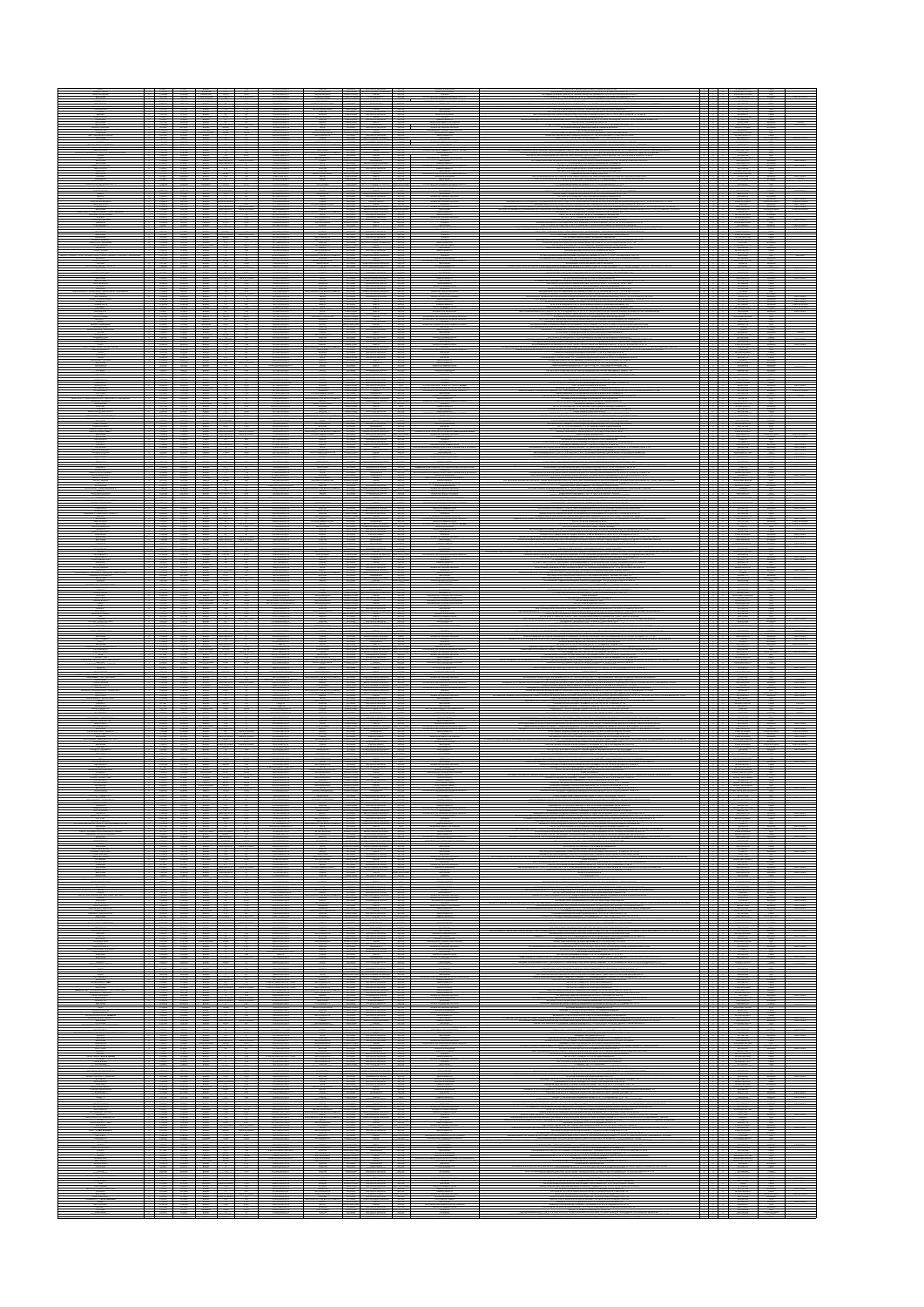| $\frac{1}{2}$ $\frac{1}{2}$ $\frac{1}{2}$                                                                                                                                                                                                                                                                                                                                                                                                                                           | $rac{1}{100000}$                                                                                                                                                                                                                                                                                                                                                                                                                                                                                                                                                                                                   |                                                                                                                                                                                         |                                                                                                                                                                                                                                                                                                                                                                                                                                                               |                      | न नाम              |
|-------------------------------------------------------------------------------------------------------------------------------------------------------------------------------------------------------------------------------------------------------------------------------------------------------------------------------------------------------------------------------------------------------------------------------------------------------------------------------------|--------------------------------------------------------------------------------------------------------------------------------------------------------------------------------------------------------------------------------------------------------------------------------------------------------------------------------------------------------------------------------------------------------------------------------------------------------------------------------------------------------------------------------------------------------------------------------------------------------------------|-----------------------------------------------------------------------------------------------------------------------------------------------------------------------------------------|---------------------------------------------------------------------------------------------------------------------------------------------------------------------------------------------------------------------------------------------------------------------------------------------------------------------------------------------------------------------------------------------------------------------------------------------------------------|----------------------|--------------------|
| $\frac{1}{1}$ $\frac{1}{2}$                                                                                                                                                                                                                                                                                                                                                                                                                                                         | UË                                                                                                                                                                                                                                                                                                                                                                                                                                                                                                                                                                                                                 |                                                                                                                                                                                         | a<br>Bangara<br>Bangara                                                                                                                                                                                                                                                                                                                                                                                                                                       |                      | H<br>$\rightarrow$ |
| $\frac{1}{2}$                                                                                                                                                                                                                                                                                                                                                                                                                                                                       |                                                                                                                                                                                                                                                                                                                                                                                                                                                                                                                                                                                                                    |                                                                                                                                                                                         |                                                                                                                                                                                                                                                                                                                                                                                                                                                               |                      |                    |
| $\frac{500}{200}$                                                                                                                                                                                                                                                                                                                                                                                                                                                                   | 篇                                                                                                                                                                                                                                                                                                                                                                                                                                                                                                                                                                                                                  |                                                                                                                                                                                         | <b>EXAMPLE</b>                                                                                                                                                                                                                                                                                                                                                                                                                                                |                      |                    |
| $\frac{1}{1}$ $\frac{900}{900}$                                                                                                                                                                                                                                                                                                                                                                                                                                                     | à.<br>豊                                                                                                                                                                                                                                                                                                                                                                                                                                                                                                                                                                                                            | $n$ 1700                                                                                                                                                                                | $\begin{array}{c}\n\frac{\sqrt{2}}{2} \\ \frac{\sqrt{2}}{2} \\ \frac{\sqrt{2}}{2} \\ \frac{\sqrt{2}}{2} \\ \frac{\sqrt{2}}{2} \\ \frac{\sqrt{2}}{2} \\ \frac{\sqrt{2}}{2} \\ \frac{\sqrt{2}}{2} \\ \frac{\sqrt{2}}{2} \\ \frac{\sqrt{2}}{2} \\ \frac{\sqrt{2}}{2} \\ \frac{\sqrt{2}}{2} \\ \frac{\sqrt{2}}{2} \\ \frac{\sqrt{2}}{2} \\ \frac{\sqrt{2}}{2} \\ \frac{\sqrt{2}}{2} \\ \frac{\sqrt{2}}{2} \\ \frac{\sqrt{2}}{2} \\ \frac{\sqrt{2}}{2} \\ \frac{\$ |                      | Ħ                  |
|                                                                                                                                                                                                                                                                                                                                                                                                                                                                                     |                                                                                                                                                                                                                                                                                                                                                                                                                                                                                                                                                                                                                    |                                                                                                                                                                                         |                                                                                                                                                                                                                                                                                                                                                                                                                                                               |                      |                    |
| Ħ                                                                                                                                                                                                                                                                                                                                                                                                                                                                                   | $rac{45.05}{45.05}$                                                                                                                                                                                                                                                                                                                                                                                                                                                                                                                                                                                                |                                                                                                                                                                                         |                                                                                                                                                                                                                                                                                                                                                                                                                                                               |                      |                    |
| $\frac{1}{1}$ $\frac{500}{500}$                                                                                                                                                                                                                                                                                                                                                                                                                                                     | $\begin{array}{c c c c} \hline m & 3 \\ \hline m & 3 \end{array}$                                                                                                                                                                                                                                                                                                                                                                                                                                                                                                                                                  |                                                                                                                                                                                         |                                                                                                                                                                                                                                                                                                                                                                                                                                                               |                      |                    |
| $\frac{1}{2}$                                                                                                                                                                                                                                                                                                                                                                                                                                                                       |                                                                                                                                                                                                                                                                                                                                                                                                                                                                                                                                                                                                                    |                                                                                                                                                                                         |                                                                                                                                                                                                                                                                                                                                                                                                                                                               |                      | $\equiv$           |
|                                                                                                                                                                                                                                                                                                                                                                                                                                                                                     |                                                                                                                                                                                                                                                                                                                                                                                                                                                                                                                                                                                                                    |                                                                                                                                                                                         |                                                                                                                                                                                                                                                                                                                                                                                                                                                               |                      |                    |
|                                                                                                                                                                                                                                                                                                                                                                                                                                                                                     |                                                                                                                                                                                                                                                                                                                                                                                                                                                                                                                                                                                                                    |                                                                                                                                                                                         |                                                                                                                                                                                                                                                                                                                                                                                                                                                               |                      | Ħ                  |
| $\frac{1}{1000}$                                                                                                                                                                                                                                                                                                                                                                                                                                                                    | ⇟                                                                                                                                                                                                                                                                                                                                                                                                                                                                                                                                                                                                                  | $\frac{63560}{63560}$                                                                                                                                                                   |                                                                                                                                                                                                                                                                                                                                                                                                                                                               |                      |                    |
| $\frac{1}{2}$                                                                                                                                                                                                                                                                                                                                                                                                                                                                       |                                                                                                                                                                                                                                                                                                                                                                                                                                                                                                                                                                                                                    |                                                                                                                                                                                         |                                                                                                                                                                                                                                                                                                                                                                                                                                                               |                      |                    |
|                                                                                                                                                                                                                                                                                                                                                                                                                                                                                     |                                                                                                                                                                                                                                                                                                                                                                                                                                                                                                                                                                                                                    |                                                                                                                                                                                         |                                                                                                                                                                                                                                                                                                                                                                                                                                                               |                      |                    |
| ₩                                                                                                                                                                                                                                                                                                                                                                                                                                                                                   | $\frac{1}{\sqrt{2}}$<br>dia.                                                                                                                                                                                                                                                                                                                                                                                                                                                                                                                                                                                       |                                                                                                                                                                                         | ₩                                                                                                                                                                                                                                                                                                                                                                                                                                                             |                      |                    |
| $\frac{1}{2}$                                                                                                                                                                                                                                                                                                                                                                                                                                                                       |                                                                                                                                                                                                                                                                                                                                                                                                                                                                                                                                                                                                                    | $\frac{NTSA}{NTSA}$                                                                                                                                                                     |                                                                                                                                                                                                                                                                                                                                                                                                                                                               |                      |                    |
|                                                                                                                                                                                                                                                                                                                                                                                                                                                                                     | a ang pagpalangan ng Pangalangan.<br>Pangangan ng Pangalangan                                                                                                                                                                                                                                                                                                                                                                                                                                                                                                                                                      | $\frac{K3560}{K3560}$                                                                                                                                                                   | <b>THE REPORT OF THE REPORT OF THE RE</b>                                                                                                                                                                                                                                                                                                                                                                                                                     |                      |                    |
| --------<br>8888888                                                                                                                                                                                                                                                                                                                                                                                                                                                                 | ł<br>÷                                                                                                                                                                                                                                                                                                                                                                                                                                                                                                                                                                                                             | $\begin{array}{ c c } \hline \begin{array}{c} \hline \text{N EAGS} \\ \hline \text{N EAGS} \\ \hline \text{N EAGS} \\ \hline \text{N EAGS} \\ \hline \end{array} \\ \hline \end{array}$ |                                                                                                                                                                                                                                                                                                                                                                                                                                                               |                      |                    |
|                                                                                                                                                                                                                                                                                                                                                                                                                                                                                     |                                                                                                                                                                                                                                                                                                                                                                                                                                                                                                                                                                                                                    |                                                                                                                                                                                         |                                                                                                                                                                                                                                                                                                                                                                                                                                                               |                      |                    |
|                                                                                                                                                                                                                                                                                                                                                                                                                                                                                     |                                                                                                                                                                                                                                                                                                                                                                                                                                                                                                                                                                                                                    |                                                                                                                                                                                         |                                                                                                                                                                                                                                                                                                                                                                                                                                                               |                      |                    |
| HE A                                                                                                                                                                                                                                                                                                                                                                                                                                                                                |                                                                                                                                                                                                                                                                                                                                                                                                                                                                                                                                                                                                                    |                                                                                                                                                                                         |                                                                                                                                                                                                                                                                                                                                                                                                                                                               | <b>Science Press</b> |                    |
|                                                                                                                                                                                                                                                                                                                                                                                                                                                                                     | ÷                                                                                                                                                                                                                                                                                                                                                                                                                                                                                                                                                                                                                  |                                                                                                                                                                                         |                                                                                                                                                                                                                                                                                                                                                                                                                                                               |                      |                    |
| $\frac{1}{1}$ $\frac{6503}{600}$                                                                                                                                                                                                                                                                                                                                                                                                                                                    |                                                                                                                                                                                                                                                                                                                                                                                                                                                                                                                                                                                                                    |                                                                                                                                                                                         |                                                                                                                                                                                                                                                                                                                                                                                                                                                               |                      |                    |
| $\frac{1}{1}$ $\frac{10004}{0004}$<br><b>CALL</b>                                                                                                                                                                                                                                                                                                                                                                                                                                   |                                                                                                                                                                                                                                                                                                                                                                                                                                                                                                                                                                                                                    |                                                                                                                                                                                         |                                                                                                                                                                                                                                                                                                                                                                                                                                                               |                      |                    |
|                                                                                                                                                                                                                                                                                                                                                                                                                                                                                     |                                                                                                                                                                                                                                                                                                                                                                                                                                                                                                                                                                                                                    |                                                                                                                                                                                         |                                                                                                                                                                                                                                                                                                                                                                                                                                                               |                      |                    |
|                                                                                                                                                                                                                                                                                                                                                                                                                                                                                     |                                                                                                                                                                                                                                                                                                                                                                                                                                                                                                                                                                                                                    |                                                                                                                                                                                         |                                                                                                                                                                                                                                                                                                                                                                                                                                                               |                      |                    |
| $\frac{52}{30}$                                                                                                                                                                                                                                                                                                                                                                                                                                                                     | in a bhaille an                                                                                                                                                                                                                                                                                                                                                                                                                                                                                                                                                                                                    |                                                                                                                                                                                         |                                                                                                                                                                                                                                                                                                                                                                                                                                                               |                      |                    |
| $\pm$                                                                                                                                                                                                                                                                                                                                                                                                                                                                               | $\frac{1}{2}$                                                                                                                                                                                                                                                                                                                                                                                                                                                                                                                                                                                                      | <b>Service</b>                                                                                                                                                                          | ÷                                                                                                                                                                                                                                                                                                                                                                                                                                                             |                      |                    |
|                                                                                                                                                                                                                                                                                                                                                                                                                                                                                     | 220                                                                                                                                                                                                                                                                                                                                                                                                                                                                                                                                                                                                                |                                                                                                                                                                                         |                                                                                                                                                                                                                                                                                                                                                                                                                                                               |                      |                    |
|                                                                                                                                                                                                                                                                                                                                                                                                                                                                                     | $\frac{1}{10}$                                                                                                                                                                                                                                                                                                                                                                                                                                                                                                                                                                                                     | $rac{0.1555}{0.1555}$                                                                                                                                                                   | S.                                                                                                                                                                                                                                                                                                                                                                                                                                                            |                      |                    |
| $\frac{1}{1}$                                                                                                                                                                                                                                                                                                                                                                                                                                                                       | $\frac{1}{2}$                                                                                                                                                                                                                                                                                                                                                                                                                                                                                                                                                                                                      |                                                                                                                                                                                         | R                                                                                                                                                                                                                                                                                                                                                                                                                                                             |                      |                    |
| $\begin{array}{c c} 1 & 0 & 0 & 0 \\ \hline 1 & 0 & 0 & 0 \\ \hline 2 & 0 & 0 & 0 \\ 0 & 0 & 0 & 0 \\ 0 & 0 & 0 & 0 \\ 0 & 0 & 0 & 0 \\ 0 & 0 & 0 & 0 \\ 0 & 0 & 0 & 0 \\ 0 & 0 & 0 & 0 \\ 0 & 0 & 0 & 0 \\ 0 & 0 & 0 & 0 \\ 0 & 0 & 0 & 0 \\ 0 & 0 & 0 & 0 \\ 0 & 0 & 0 & 0 \\ 0 & 0 & 0 & 0 \\ 0 & 0 & 0 & 0 & 0 \\ 0 & 0 & 0 & $                                                                                                                                                 | ÷                                                                                                                                                                                                                                                                                                                                                                                                                                                                                                                                                                                                                  |                                                                                                                                                                                         | E                                                                                                                                                                                                                                                                                                                                                                                                                                                             |                      |                    |
|                                                                                                                                                                                                                                                                                                                                                                                                                                                                                     |                                                                                                                                                                                                                                                                                                                                                                                                                                                                                                                                                                                                                    |                                                                                                                                                                                         |                                                                                                                                                                                                                                                                                                                                                                                                                                                               |                      |                    |
| $ \frac{1}{2}$                                                                                                                                                                                                                                                                                                                                                                                                                                                                      |                                                                                                                                                                                                                                                                                                                                                                                                                                                                                                                                                                                                                    |                                                                                                                                                                                         |                                                                                                                                                                                                                                                                                                                                                                                                                                                               |                      |                    |
| $ \frac{1}{2}$                                                                                                                                                                                                                                                                                                                                                                                                                                                                      | ⇟                                                                                                                                                                                                                                                                                                                                                                                                                                                                                                                                                                                                                  | $n + 666$                                                                                                                                                                               | Ē.                                                                                                                                                                                                                                                                                                                                                                                                                                                            |                      |                    |
| $ \frac{500}{500}$                                                                                                                                                                                                                                                                                                                                                                                                                                                                  | $\frac{1}{2}$                                                                                                                                                                                                                                                                                                                                                                                                                                                                                                                                                                                                      | $rac{1}{1000}$                                                                                                                                                                          |                                                                                                                                                                                                                                                                                                                                                                                                                                                               |                      |                    |
|                                                                                                                                                                                                                                                                                                                                                                                                                                                                                     |                                                                                                                                                                                                                                                                                                                                                                                                                                                                                                                                                                                                                    | <b>Service State</b>                                                                                                                                                                    |                                                                                                                                                                                                                                                                                                                                                                                                                                                               |                      |                    |
| $\begin{array}{c}\n 1.003 \\  -0.003 \\  -0.003\n\end{array}$                                                                                                                                                                                                                                                                                                                                                                                                                       | ji<br>H<br>62                                                                                                                                                                                                                                                                                                                                                                                                                                                                                                                                                                                                      | <b>SMACHO</b>                                                                                                                                                                           | es estas estas                                                                                                                                                                                                                                                                                                                                                                                                                                                |                      |                    |
| $\frac{3}{2}$                                                                                                                                                                                                                                                                                                                                                                                                                                                                       |                                                                                                                                                                                                                                                                                                                                                                                                                                                                                                                                                                                                                    |                                                                                                                                                                                         |                                                                                                                                                                                                                                                                                                                                                                                                                                                               |                      |                    |
| $\frac{1}{\sqrt{2}}$                                                                                                                                                                                                                                                                                                                                                                                                                                                                | $\frac{1}{2}$                                                                                                                                                                                                                                                                                                                                                                                                                                                                                                                                                                                                      | <b>ATAR</b><br>$\frac{1}{2}$                                                                                                                                                            |                                                                                                                                                                                                                                                                                                                                                                                                                                                               |                      |                    |
| $\begin{array}{ c c c c c } \hline \textbf{1} & \textbf{GMB} & \textbf{0} & \textbf{0} & \textbf{0} \\ \hline \textbf{1} & \textbf{GMB} & \textbf{0} & \textbf{0} & \textbf{0} & \textbf{0} \\ \hline \textbf{2} & \textbf{GMB} & \textbf{0} & \textbf{0} & \textbf{0} & \textbf{0} & \textbf{0} \\ \hline \textbf{3} & \textbf{GMB} & \textbf{0} & \textbf{0} & \textbf{0} & \textbf{0} & \textbf{0} & \textbf{0} & \textbf{0$                                                     | T                                                                                                                                                                                                                                                                                                                                                                                                                                                                                                                                                                                                                  | $\frac{1}{\sqrt{1000}}$                                                                                                                                                                 | a Maria da San                                                                                                                                                                                                                                                                                                                                                                                                                                                |                      |                    |
|                                                                                                                                                                                                                                                                                                                                                                                                                                                                                     |                                                                                                                                                                                                                                                                                                                                                                                                                                                                                                                                                                                                                    |                                                                                                                                                                                         |                                                                                                                                                                                                                                                                                                                                                                                                                                                               |                      |                    |
|                                                                                                                                                                                                                                                                                                                                                                                                                                                                                     |                                                                                                                                                                                                                                                                                                                                                                                                                                                                                                                                                                                                                    |                                                                                                                                                                                         |                                                                                                                                                                                                                                                                                                                                                                                                                                                               |                      |                    |
| $\begin{tabular}{ c c c c } \hline \multicolumn{1}{ c }{\multicolumn{1}{ c }{\multicolumn{1}{ c }{\multicolumn{1}{ c }{\multicolumn{1}{ c }{\multicolumn{1}{ c }{\multicolumn{1}{ c }{\multicolumn{1}{c }{\multicolumn{1}{c }{\multicolumn{1}{c }{\multicolumn{1}{c }{\multicolumn{1}{c }{\multicolumn{1}{c }{\multicolumn{1}{c }{\multicolumn{1}{c }{\multicolumn{1}{c }{\multicolumn{1}{c }{\multicolumn{1}{c }{\multicolumn{1}{c }{\multicolumn$                                 |                                                                                                                                                                                                                                                                                                                                                                                                                                                                                                                                                                                                                    | $A = 1000$<br>$-100-$                                                                                                                                                                   |                                                                                                                                                                                                                                                                                                                                                                                                                                                               |                      |                    |
| H                                                                                                                                                                                                                                                                                                                                                                                                                                                                                   | $\frac{m}{m}$                                                                                                                                                                                                                                                                                                                                                                                                                                                                                                                                                                                                      |                                                                                                                                                                                         |                                                                                                                                                                                                                                                                                                                                                                                                                                                               |                      |                    |
|                                                                                                                                                                                                                                                                                                                                                                                                                                                                                     | ÷<br>Load Mahlena<br>2.9                                                                                                                                                                                                                                                                                                                                                                                                                                                                                                                                                                                           |                                                                                                                                                                                         |                                                                                                                                                                                                                                                                                                                                                                                                                                                               |                      |                    |
|                                                                                                                                                                                                                                                                                                                                                                                                                                                                                     | <b>Bill</b>                                                                                                                                                                                                                                                                                                                                                                                                                                                                                                                                                                                                        |                                                                                                                                                                                         |                                                                                                                                                                                                                                                                                                                                                                                                                                                               |                      |                    |
|                                                                                                                                                                                                                                                                                                                                                                                                                                                                                     |                                                                                                                                                                                                                                                                                                                                                                                                                                                                                                                                                                                                                    | $rac{1}{1000}$                                                                                                                                                                          |                                                                                                                                                                                                                                                                                                                                                                                                                                                               |                      |                    |
|                                                                                                                                                                                                                                                                                                                                                                                                                                                                                     |                                                                                                                                                                                                                                                                                                                                                                                                                                                                                                                                                                                                                    | $n + 2n$                                                                                                                                                                                |                                                                                                                                                                                                                                                                                                                                                                                                                                                               |                      |                    |
| $\frac{1}{2}$                                                                                                                                                                                                                                                                                                                                                                                                                                                                       | <b>ANGLE MONGAGE</b><br>ł                                                                                                                                                                                                                                                                                                                                                                                                                                                                                                                                                                                          | $\frac{1}{\frac{1}{\frac{1}{2} \sum_{i=1}^{n} (1 - i)}$                                                                                                                                 | $\frac{m}{2}$                                                                                                                                                                                                                                                                                                                                                                                                                                                 |                      |                    |
|                                                                                                                                                                                                                                                                                                                                                                                                                                                                                     | ż.                                                                                                                                                                                                                                                                                                                                                                                                                                                                                                                                                                                                                 | $100 -$                                                                                                                                                                                 |                                                                                                                                                                                                                                                                                                                                                                                                                                                               |                      |                    |
| $-24$                                                                                                                                                                                                                                                                                                                                                                                                                                                                               |                                                                                                                                                                                                                                                                                                                                                                                                                                                                                                                                                                                                                    |                                                                                                                                                                                         |                                                                                                                                                                                                                                                                                                                                                                                                                                                               |                      |                    |
| $rac{1}{2}$<br><b>Chile</b>                                                                                                                                                                                                                                                                                                                                                                                                                                                         | <b>Bill</b>                                                                                                                                                                                                                                                                                                                                                                                                                                                                                                                                                                                                        | AT50                                                                                                                                                                                    |                                                                                                                                                                                                                                                                                                                                                                                                                                                               |                      |                    |
|                                                                                                                                                                                                                                                                                                                                                                                                                                                                                     | Ē                                                                                                                                                                                                                                                                                                                                                                                                                                                                                                                                                                                                                  |                                                                                                                                                                                         |                                                                                                                                                                                                                                                                                                                                                                                                                                                               |                      |                    |
|                                                                                                                                                                                                                                                                                                                                                                                                                                                                                     |                                                                                                                                                                                                                                                                                                                                                                                                                                                                                                                                                                                                                    |                                                                                                                                                                                         | ang ang ang                                                                                                                                                                                                                                                                                                                                                                                                                                                   |                      |                    |
|                                                                                                                                                                                                                                                                                                                                                                                                                                                                                     |                                                                                                                                                                                                                                                                                                                                                                                                                                                                                                                                                                                                                    |                                                                                                                                                                                         |                                                                                                                                                                                                                                                                                                                                                                                                                                                               |                      |                    |
| $\frac{1}{1}$ $\frac{330}{200}$<br>$\frac{1}{2}$ $\frac{330}{200}$<br>$\frac{330}{200}$                                                                                                                                                                                                                                                                                                                                                                                             | 叫棒                                                                                                                                                                                                                                                                                                                                                                                                                                                                                                                                                                                                                 |                                                                                                                                                                                         |                                                                                                                                                                                                                                                                                                                                                                                                                                                               |                      |                    |
|                                                                                                                                                                                                                                                                                                                                                                                                                                                                                     |                                                                                                                                                                                                                                                                                                                                                                                                                                                                                                                                                                                                                    |                                                                                                                                                                                         |                                                                                                                                                                                                                                                                                                                                                                                                                                                               |                      |                    |
| $\frac{900}{900}$                                                                                                                                                                                                                                                                                                                                                                                                                                                                   | 礨<br>÷<br>ł                                                                                                                                                                                                                                                                                                                                                                                                                                                                                                                                                                                                        | <b>NGC 18</b>                                                                                                                                                                           | $\begin{tabular}{ c c } \hline 0000 & 00000 \\ \hline 0000 & 00000 \\ \hline 0000 & 00000 \\ \hline 0000 & 00000 \\ \hline 0000 & 00000 \\ \hline \end{tabular}$                                                                                                                                                                                                                                                                                              |                      | H                  |
| ≡≋                                                                                                                                                                                                                                                                                                                                                                                                                                                                                  |                                                                                                                                                                                                                                                                                                                                                                                                                                                                                                                                                                                                                    |                                                                                                                                                                                         | t                                                                                                                                                                                                                                                                                                                                                                                                                                                             |                      |                    |
|                                                                                                                                                                                                                                                                                                                                                                                                                                                                                     |                                                                                                                                                                                                                                                                                                                                                                                                                                                                                                                                                                                                                    |                                                                                                                                                                                         | R                                                                                                                                                                                                                                                                                                                                                                                                                                                             |                      |                    |
|                                                                                                                                                                                                                                                                                                                                                                                                                                                                                     |                                                                                                                                                                                                                                                                                                                                                                                                                                                                                                                                                                                                                    |                                                                                                                                                                                         |                                                                                                                                                                                                                                                                                                                                                                                                                                                               |                      |                    |
|                                                                                                                                                                                                                                                                                                                                                                                                                                                                                     | $\frac{100}{7000}$ = $\frac{1}{100}$                                                                                                                                                                                                                                                                                                                                                                                                                                                                                                                                                                               |                                                                                                                                                                                         |                                                                                                                                                                                                                                                                                                                                                                                                                                                               |                      | ▦                  |
|                                                                                                                                                                                                                                                                                                                                                                                                                                                                                     |                                                                                                                                                                                                                                                                                                                                                                                                                                                                                                                                                                                                                    |                                                                                                                                                                                         | 關節語                                                                                                                                                                                                                                                                                                                                                                                                                                                           |                      | ₩                  |
| 繼<br>$\frac{1}{\sqrt{2}}$                                                                                                                                                                                                                                                                                                                                                                                                                                                           |                                                                                                                                                                                                                                                                                                                                                                                                                                                                                                                                                                                                                    |                                                                                                                                                                                         |                                                                                                                                                                                                                                                                                                                                                                                                                                                               |                      |                    |
|                                                                                                                                                                                                                                                                                                                                                                                                                                                                                     |                                                                                                                                                                                                                                                                                                                                                                                                                                                                                                                                                                                                                    |                                                                                                                                                                                         |                                                                                                                                                                                                                                                                                                                                                                                                                                                               |                      | $\frac{1}{2}$      |
|                                                                                                                                                                                                                                                                                                                                                                                                                                                                                     |                                                                                                                                                                                                                                                                                                                                                                                                                                                                                                                                                                                                                    |                                                                                                                                                                                         |                                                                                                                                                                                                                                                                                                                                                                                                                                                               |                      |                    |
| - 22<br>$\frac{1}{2}$                                                                                                                                                                                                                                                                                                                                                                                                                                                               | $\frac{1}{2}$<br>$\frac{1}{2}$                                                                                                                                                                                                                                                                                                                                                                                                                                                                                                                                                                                     |                                                                                                                                                                                         |                                                                                                                                                                                                                                                                                                                                                                                                                                                               |                      |                    |
|                                                                                                                                                                                                                                                                                                                                                                                                                                                                                     | <b>Mills</b><br>ᄴ                                                                                                                                                                                                                                                                                                                                                                                                                                                                                                                                                                                                  |                                                                                                                                                                                         | ₩                                                                                                                                                                                                                                                                                                                                                                                                                                                             |                      |                    |
|                                                                                                                                                                                                                                                                                                                                                                                                                                                                                     |                                                                                                                                                                                                                                                                                                                                                                                                                                                                                                                                                                                                                    |                                                                                                                                                                                         |                                                                                                                                                                                                                                                                                                                                                                                                                                                               |                      |                    |
|                                                                                                                                                                                                                                                                                                                                                                                                                                                                                     | ALGO HOMA<br>  Music   Music<br>  Music   Kalendarum<br>  Music   Kalendarum                                                                                                                                                                                                                                                                                                                                                                                                                                                                                                                                       |                                                                                                                                                                                         | ÷                                                                                                                                                                                                                                                                                                                                                                                                                                                             |                      |                    |
|                                                                                                                                                                                                                                                                                                                                                                                                                                                                                     |                                                                                                                                                                                                                                                                                                                                                                                                                                                                                                                                                                                                                    |                                                                                                                                                                                         |                                                                                                                                                                                                                                                                                                                                                                                                                                                               |                      | 1000000            |
|                                                                                                                                                                                                                                                                                                                                                                                                                                                                                     |                                                                                                                                                                                                                                                                                                                                                                                                                                                                                                                                                                                                                    |                                                                                                                                                                                         |                                                                                                                                                                                                                                                                                                                                                                                                                                                               |                      |                    |
| $\begin{tabular}{ c c c } \hline \multicolumn{1}{ c }{\multicolumn{1}{ c }{\multicolumn{1}{ c }{\multicolumn{1}{ c }{\multicolumn{1}{ c }{\multicolumn{1}{ c }{\multicolumn{1}{ c }{\multicolumn{1}{ c }{\multicolumn{1}{ c }{\multicolumn{1}{ c }{\multicolumn{1}{ c }{\multicolumn{1}{ c }{\multicolumn{1}{ c }{\multicolumn{1}{ c }{\multicolumn{1}{ c }{\multicolumn{1}{ c }{\multicolumn{1}{ c }{\multicolumn{1}{ c }{\multicolumn{$                                           |                                                                                                                                                                                                                                                                                                                                                                                                                                                                                                                                                                                                                    |                                                                                                                                                                                         |                                                                                                                                                                                                                                                                                                                                                                                                                                                               |                      |                    |
|                                                                                                                                                                                                                                                                                                                                                                                                                                                                                     |                                                                                                                                                                                                                                                                                                                                                                                                                                                                                                                                                                                                                    |                                                                                                                                                                                         | Based                                                                                                                                                                                                                                                                                                                                                                                                                                                         |                      | H                  |
|                                                                                                                                                                                                                                                                                                                                                                                                                                                                                     | $\frac{1}{\sqrt{2}}$                                                                                                                                                                                                                                                                                                                                                                                                                                                                                                                                                                                               |                                                                                                                                                                                         | ₩                                                                                                                                                                                                                                                                                                                                                                                                                                                             |                      |                    |
| $ \frac{9989}{9888}$                                                                                                                                                                                                                                                                                                                                                                                                                                                                |                                                                                                                                                                                                                                                                                                                                                                                                                                                                                                                                                                                                                    | <b>WASHER</b><br>776                                                                                                                                                                    | $\frac{1}{2}$                                                                                                                                                                                                                                                                                                                                                                                                                                                 |                      | $\frac{1}{1}$      |
| $+$                                                                                                                                                                                                                                                                                                                                                                                                                                                                                 | $\equiv$ $\rightarrow$                                                                                                                                                                                                                                                                                                                                                                                                                                                                                                                                                                                             |                                                                                                                                                                                         |                                                                                                                                                                                                                                                                                                                                                                                                                                                               |                      |                    |
|                                                                                                                                                                                                                                                                                                                                                                                                                                                                                     |                                                                                                                                                                                                                                                                                                                                                                                                                                                                                                                                                                                                                    |                                                                                                                                                                                         |                                                                                                                                                                                                                                                                                                                                                                                                                                                               |                      |                    |
|                                                                                                                                                                                                                                                                                                                                                                                                                                                                                     | ÷<br>$\frac{1}{2}$                                                                                                                                                                                                                                                                                                                                                                                                                                                                                                                                                                                                 |                                                                                                                                                                                         | €                                                                                                                                                                                                                                                                                                                                                                                                                                                             |                      |                    |
| ≢                                                                                                                                                                                                                                                                                                                                                                                                                                                                                   | $\frac{1}{10}$ $\frac{1}{4}$                                                                                                                                                                                                                                                                                                                                                                                                                                                                                                                                                                                       |                                                                                                                                                                                         | ÷                                                                                                                                                                                                                                                                                                                                                                                                                                                             |                      |                    |
|                                                                                                                                                                                                                                                                                                                                                                                                                                                                                     | I                                                                                                                                                                                                                                                                                                                                                                                                                                                                                                                                                                                                                  | 甜菜                                                                                                                                                                                      |                                                                                                                                                                                                                                                                                                                                                                                                                                                               |                      |                    |
|                                                                                                                                                                                                                                                                                                                                                                                                                                                                                     | 端<br>÷                                                                                                                                                                                                                                                                                                                                                                                                                                                                                                                                                                                                             |                                                                                                                                                                                         | 闘闘                                                                                                                                                                                                                                                                                                                                                                                                                                                            |                      |                    |
|                                                                                                                                                                                                                                                                                                                                                                                                                                                                                     |                                                                                                                                                                                                                                                                                                                                                                                                                                                                                                                                                                                                                    | $+100$                                                                                                                                                                                  |                                                                                                                                                                                                                                                                                                                                                                                                                                                               |                      |                    |
|                                                                                                                                                                                                                                                                                                                                                                                                                                                                                     |                                                                                                                                                                                                                                                                                                                                                                                                                                                                                                                                                                                                                    |                                                                                                                                                                                         | ≣                                                                                                                                                                                                                                                                                                                                                                                                                                                             |                      |                    |
|                                                                                                                                                                                                                                                                                                                                                                                                                                                                                     | AMSZON                                                                                                                                                                                                                                                                                                                                                                                                                                                                                                                                                                                                             |                                                                                                                                                                                         | ₩                                                                                                                                                                                                                                                                                                                                                                                                                                                             |                      |                    |
|                                                                                                                                                                                                                                                                                                                                                                                                                                                                                     | 쁣                                                                                                                                                                                                                                                                                                                                                                                                                                                                                                                                                                                                                  |                                                                                                                                                                                         |                                                                                                                                                                                                                                                                                                                                                                                                                                                               |                      |                    |
|                                                                                                                                                                                                                                                                                                                                                                                                                                                                                     | $rac{1}{26}$ as                                                                                                                                                                                                                                                                                                                                                                                                                                                                                                                                                                                                    |                                                                                                                                                                                         |                                                                                                                                                                                                                                                                                                                                                                                                                                                               |                      |                    |
|                                                                                                                                                                                                                                                                                                                                                                                                                                                                                     | $\frac{\partial \mathbf{B}}{\partial \mathbf{B}}$                                                                                                                                                                                                                                                                                                                                                                                                                                                                                                                                                                  | $\equiv$<br>$-1001$                                                                                                                                                                     |                                                                                                                                                                                                                                                                                                                                                                                                                                                               |                      | $\rightarrow$      |
|                                                                                                                                                                                                                                                                                                                                                                                                                                                                                     |                                                                                                                                                                                                                                                                                                                                                                                                                                                                                                                                                                                                                    |                                                                                                                                                                                         |                                                                                                                                                                                                                                                                                                                                                                                                                                                               |                      |                    |
| ■<br>$\frac{1}{2}$                                                                                                                                                                                                                                                                                                                                                                                                                                                                  |                                                                                                                                                                                                                                                                                                                                                                                                                                                                                                                                                                                                                    |                                                                                                                                                                                         |                                                                                                                                                                                                                                                                                                                                                                                                                                                               |                      |                    |
|                                                                                                                                                                                                                                                                                                                                                                                                                                                                                     | ķ                                                                                                                                                                                                                                                                                                                                                                                                                                                                                                                                                                                                                  |                                                                                                                                                                                         |                                                                                                                                                                                                                                                                                                                                                                                                                                                               |                      |                    |
| $\begin{tabular}{ c c c c } \hline . & . & . & . & . \\ \hline . & . & . & . & . \\ \hline . & . & . & . & . \\ \hline . & . & . & . & . \\ \hline . & . & . & . & . \\ \hline . & . & . & . & . \\ \hline . & . & . & . & . \\ \hline . & . & . & . & . \\ \hline . & . & . & . & . \\ \hline . & . & . & . & . \\ \hline . & . & . & . & . \\ \hline . & . & . & . & . \\ \hline . & . & . & . & . \\ \hline . & . & . & . & . \\ \hline . & . & . & . & . \\ \hline . & . & . &$ |                                                                                                                                                                                                                                                                                                                                                                                                                                                                                                                                                                                                                    |                                                                                                                                                                                         | a a an an Salamana.<br>Tagairtí                                                                                                                                                                                                                                                                                                                                                                                                                               |                      | ili<br>Hi          |
|                                                                                                                                                                                                                                                                                                                                                                                                                                                                                     | I<br>$\begin{tabular}{ c c c c } \hline Re & $\alpha$ & $\beta$ & $\gamma$ \\ \hline $\alpha$ & $\alpha$ & $\gamma$ & $\gamma$ \\ \hline $\alpha$ & $\alpha$ & $\gamma$ & $\gamma$ \\ \hline $\alpha$ & $\alpha$ & $\gamma$ & $\gamma$ \\ \hline $\alpha$ & $\alpha$ & $\gamma$ & $\gamma$ \\ \hline $\alpha$ & $\alpha$ & $\gamma$ & $\gamma$ & $\gamma$ \\ \hline $\alpha$ & $\alpha$ & $\gamma$ & $\gamma$ & $\gamma$ \\ \hline $\alpha$ & $\alpha$ & $\gamma$ & $\gamma$ & $\gamma$ \\ \hline $\alpha$ & $\alpha$ & $\gamma$ & $\gamma$ & $\gamma$ \\ \hline $\alpha$ & $\alpha$ & $\gamma$ & $\gamma$ &$<br>÷ |                                                                                                                                                                                         |                                                                                                                                                                                                                                                                                                                                                                                                                                                               |                      |                    |
| <u>i se</u><br>- se                                                                                                                                                                                                                                                                                                                                                                                                                                                                 |                                                                                                                                                                                                                                                                                                                                                                                                                                                                                                                                                                                                                    | <b><i><u>ATAO AMERICAN</u></i></b>                                                                                                                                                      |                                                                                                                                                                                                                                                                                                                                                                                                                                                               |                      |                    |
|                                                                                                                                                                                                                                                                                                                                                                                                                                                                                     | $\frac{1}{2}$                                                                                                                                                                                                                                                                                                                                                                                                                                                                                                                                                                                                      |                                                                                                                                                                                         | i                                                                                                                                                                                                                                                                                                                                                                                                                                                             |                      | ▒                  |
|                                                                                                                                                                                                                                                                                                                                                                                                                                                                                     |                                                                                                                                                                                                                                                                                                                                                                                                                                                                                                                                                                                                                    | n 1500                                                                                                                                                                                  |                                                                                                                                                                                                                                                                                                                                                                                                                                                               |                      |                    |
| ♦                                                                                                                                                                                                                                                                                                                                                                                                                                                                                   | $\begin{tabular}{ c c c c c c c } \hline & $0.95 & $0.95 & $0.95 \\ \hline $0.05 & $0.95 & $0.95 & $0.95 \\ \hline $0.05 & $0.95 & $0.95 & $0.95 \\ \hline $0.05 & $0.95 & $0.95 & $0.95 \\ \hline $0.05 & $0.95 & $0.95 & $0.95 \\ \hline $0.05 & $0.95 & $0.95 & $0.95 \\ \hline $0.05 & $0.95 & $0.95 & $0.95 \\ \hline $0.05 & $0.95$                                                                                                                                                                                                                                                                          |                                                                                                                                                                                         | 闘闘                                                                                                                                                                                                                                                                                                                                                                                                                                                            |                      |                    |
|                                                                                                                                                                                                                                                                                                                                                                                                                                                                                     | $\frac{m}{m}$                                                                                                                                                                                                                                                                                                                                                                                                                                                                                                                                                                                                      |                                                                                                                                                                                         |                                                                                                                                                                                                                                                                                                                                                                                                                                                               |                      |                    |
| $-$                                                                                                                                                                                                                                                                                                                                                                                                                                                                                 | $\frac{1}{2}$<br>$\frac{1}{100}$<br>-van                                                                                                                                                                                                                                                                                                                                                                                                                                                                                                                                                                           | $-2256$                                                                                                                                                                                 | <b>SOLU</b>                                                                                                                                                                                                                                                                                                                                                                                                                                                   |                      | ▒<br>Ħ             |